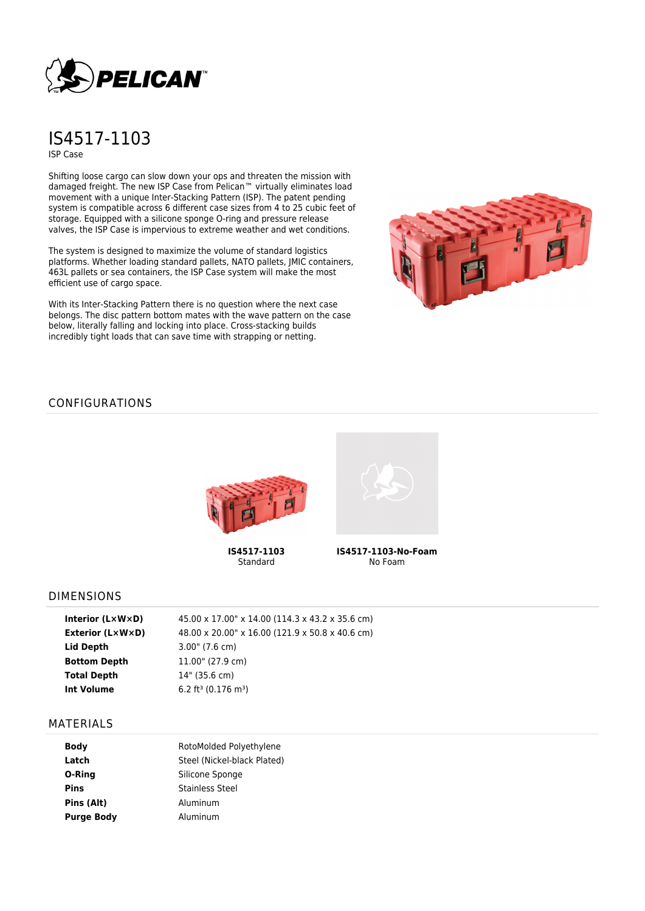

# IS4517-1103 ISP Case

Shifting loose cargo can slow down your ops and threaten the mission with damaged freight. The new ISP Case from Pelican™ virtually eliminates load movement with a unique Inter-Stacking Pattern (ISP). The patent pending system is compatible across 6 different case sizes from 4 to 25 cubic feet of storage. Equipped with a silicone sponge O-ring and pressure release valves, the ISP Case is impervious to extreme weather and wet conditions.

The system is designed to maximize the volume of standard logistics platforms. Whether loading standard pallets, NATO pallets, JMIC containers, 463L pallets or sea containers, the ISP Case system will make the most efficient use of cargo space.

With its Inter-Stacking Pattern there is no question where the next case belongs. The disc pattern bottom mates with the wave pattern on the case below, literally falling and locking into place. Cross-stacking builds incredibly tight loads that can save time with strapping or netting.



## CONFIGURATIONS



**IS4517-1103** Standard



**IS4517-1103-No-Foam** No Foam

### DIMENSIONS

| Interior $(L \times W \times D)$ | 45.00 x 17.00" x 14.00 (114.3 x 43.2 x 35.6 cm) |
|----------------------------------|-------------------------------------------------|
| Exterior (L×W×D)                 | 48.00 x 20.00" x 16.00 (121.9 x 50.8 x 40.6 cm) |
| Lid Depth                        | $3.00$ " (7.6 cm)                               |
| <b>Bottom Depth</b>              | 11.00" (27.9 cm)                                |
| <b>Total Depth</b>               | 14" (35.6 cm)                                   |
| Int Volume                       | 6.2 ft <sup>3</sup> (0.176 m <sup>3</sup> )     |
|                                  |                                                 |

#### MATERIALS

| <b>Body</b>       | RotoMolded Polyethylene     |
|-------------------|-----------------------------|
| Latch             | Steel (Nickel-black Plated) |
| O-Ring            | Silicone Sponge             |
| Pins              | Stainless Steel             |
| Pins (Alt)        | Aluminum                    |
| <b>Purge Body</b> | Aluminum                    |